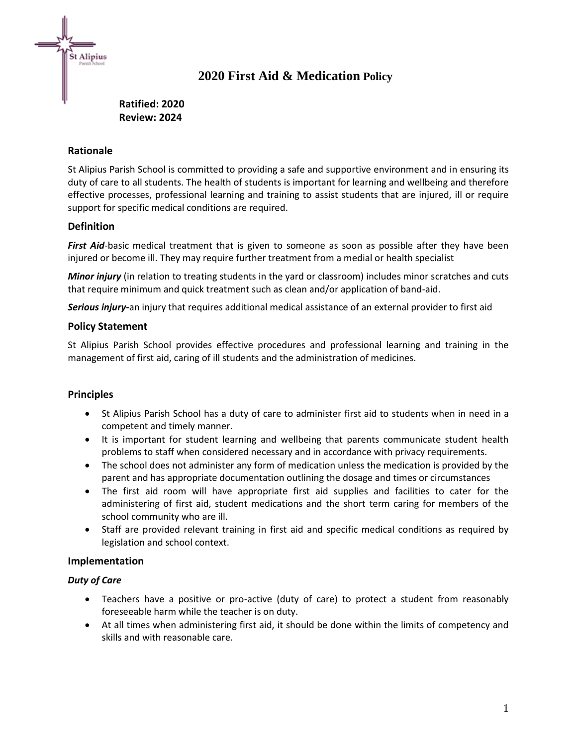

# **2020 First Aid & Medication Policy**

# **Ratified: 2020 Review: 2024**

### **Rationale**

St Alipius Parish School is committed to providing a safe and supportive environment and in ensuring its duty of care to all students. The health of students is important for learning and wellbeing and therefore effective processes, professional learning and training to assist students that are injured, ill or require support for specific medical conditions are required.

### **Definition**

*First Aid*-basic medical treatment that is given to someone as soon as possible after they have been injured or become ill. They may require further treatment from a medial or health specialist

*Minor injury* (in relation to treating students in the yard or classroom) includes minor scratches and cuts that require minimum and quick treatment such as clean and/or application of band-aid.

*Serious injury***-**an injury that requires additional medical assistance of an external provider to first aid

### **Policy Statement**

St Alipius Parish School provides effective procedures and professional learning and training in the management of first aid, caring of ill students and the administration of medicines.

### **Principles**

- St Alipius Parish School has a duty of care to administer first aid to students when in need in a competent and timely manner.
- It is important for student learning and wellbeing that parents communicate student health problems to staff when considered necessary and in accordance with privacy requirements.
- The school does not administer any form of medication unless the medication is provided by the parent and has appropriate documentation outlining the dosage and times or circumstances
- The first aid room will have appropriate first aid supplies and facilities to cater for the administering of first aid, student medications and the short term caring for members of the school community who are ill.
- Staff are provided relevant training in first aid and specific medical conditions as required by legislation and school context.

### **Implementation**

### *Duty of Care*

- Teachers have a positive or pro-active (duty of care) to protect a student from reasonably foreseeable harm while the teacher is on duty.
- At all times when administering first aid, it should be done within the limits of competency and skills and with reasonable care.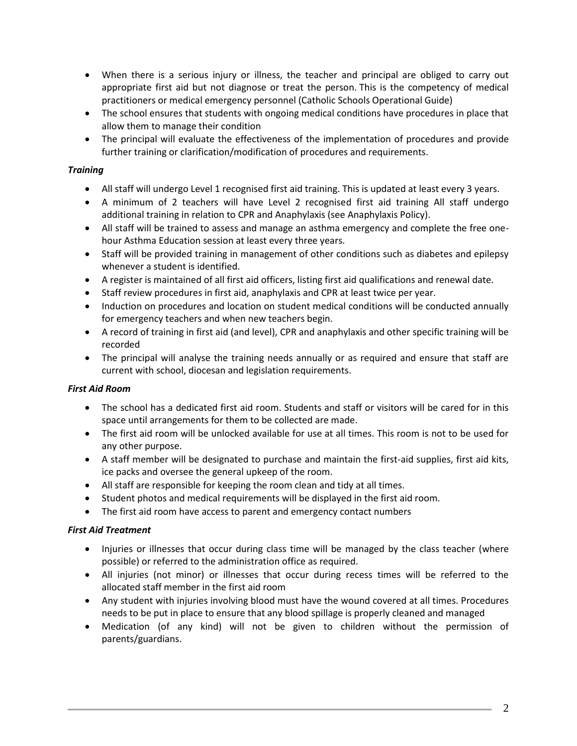- When there is a serious injury or illness, the teacher and principal are obliged to carry out appropriate first aid but not diagnose or treat the person. This is the competency of medical practitioners or medical emergency personnel (Catholic Schools Operational Guide)
- The school ensures that students with ongoing medical conditions have procedures in place that allow them to manage their condition
- The principal will evaluate the effectiveness of the implementation of procedures and provide further training or clarification/modification of procedures and requirements.

#### *Training*

- All staff will undergo Level 1 recognised first aid training. This is updated at least every 3 years.
- A minimum of 2 teachers will have Level 2 recognised first aid training All staff undergo additional training in relation to CPR and Anaphylaxis (see Anaphylaxis Policy).
- All staff will be trained to assess and manage an asthma emergency and complete the free onehour Asthma Education session at least every three years.
- Staff will be provided training in management of other conditions such as diabetes and epilepsy whenever a student is identified.
- A register is maintained of all first aid officers, listing first aid qualifications and renewal date.
- Staff review procedures in first aid, anaphylaxis and CPR at least twice per year.
- Induction on procedures and location on student medical conditions will be conducted annually for emergency teachers and when new teachers begin.
- A record of training in first aid (and level), CPR and anaphylaxis and other specific training will be recorded
- The principal will analyse the training needs annually or as required and ensure that staff are current with school, diocesan and legislation requirements.

### *First Aid Room*

- The school has a dedicated first aid room. Students and staff or visitors will be cared for in this space until arrangements for them to be collected are made.
- The first aid room will be unlocked available for use at all times. This room is not to be used for any other purpose.
- A staff member will be designated to purchase and maintain the first-aid supplies, first aid kits, ice packs and oversee the general upkeep of the room.
- All staff are responsible for keeping the room clean and tidy at all times.
- Student photos and medical requirements will be displayed in the first aid room.
- The first aid room have access to parent and emergency contact numbers

### *First Aid Treatment*

- Injuries or illnesses that occur during class time will be managed by the class teacher (where possible) or referred to the administration office as required.
- All injuries (not minor) or illnesses that occur during recess times will be referred to the allocated staff member in the first aid room
- Any student with injuries involving blood must have the wound covered at all times. Procedures needs to be put in place to ensure that any blood spillage is properly cleaned and managed
- Medication (of any kind) will not be given to children without the permission of parents/guardians.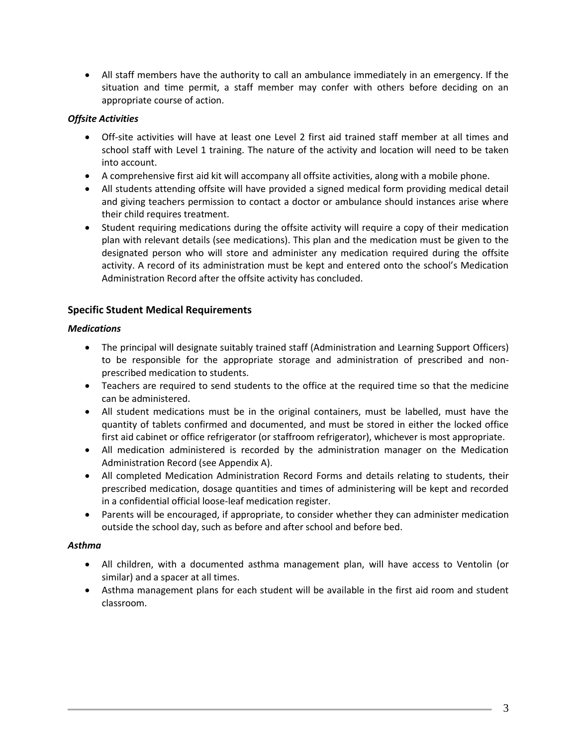• All staff members have the authority to call an ambulance immediately in an emergency. If the situation and time permit, a staff member may confer with others before deciding on an appropriate course of action.

### *Offsite Activities*

- Off-site activities will have at least one Level 2 first aid trained staff member at all times and school staff with Level 1 training. The nature of the activity and location will need to be taken into account.
- A comprehensive first aid kit will accompany all offsite activities, along with a mobile phone.
- All students attending offsite will have provided a signed medical form providing medical detail and giving teachers permission to contact a doctor or ambulance should instances arise where their child requires treatment.
- Student requiring medications during the offsite activity will require a copy of their medication plan with relevant details (see medications). This plan and the medication must be given to the designated person who will store and administer any medication required during the offsite activity. A record of its administration must be kept and entered onto the school's Medication Administration Record after the offsite activity has concluded.

## **Specific Student Medical Requirements**

### *Medications*

- The principal will designate suitably trained staff (Administration and Learning Support Officers) to be responsible for the appropriate storage and administration of prescribed and nonprescribed medication to students.
- Teachers are required to send students to the office at the required time so that the medicine can be administered.
- All student medications must be in the original containers, must be labelled, must have the quantity of tablets confirmed and documented, and must be stored in either the locked office first aid cabinet or office refrigerator (or staffroom refrigerator), whichever is most appropriate.
- All medication administered is recorded by the administration manager on the Medication Administration Record (see Appendix A).
- All completed Medication Administration Record Forms and details relating to students, their prescribed medication, dosage quantities and times of administering will be kept and recorded in a confidential official loose-leaf medication register.
- Parents will be encouraged, if appropriate, to consider whether they can administer medication outside the school day, such as before and after school and before bed.

### *Asthma*

- All children, with a documented asthma management plan, will have access to Ventolin (or similar) and a spacer at all times.
- Asthma management plans for each student will be available in the first aid room and student classroom.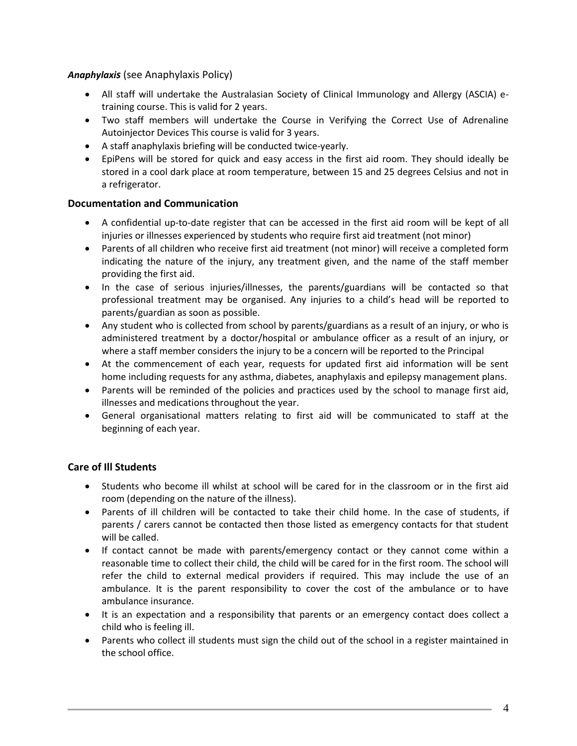*Anaphylaxis* (see Anaphylaxis Policy)

- All staff will undertake the Australasian Society of Clinical Immunology and Allergy (ASCIA) etraining course. This is valid for 2 years.
- Two staff members will undertake the Course in Verifying the Correct Use of Adrenaline Autoinjector Devices This course is valid for 3 years.
- A staff anaphylaxis briefing will be conducted twice-yearly.
- EpiPens will be stored for quick and easy access in the first aid room. They should ideally be stored in a cool dark place at room temperature, between 15 and 25 degrees Celsius and not in a refrigerator.

### **Documentation and Communication**

- A confidential up-to-date register that can be accessed in the first aid room will be kept of all injuries or illnesses experienced by students who require first aid treatment (not minor)
- Parents of all children who receive first aid treatment (not minor) will receive a completed form indicating the nature of the injury, any treatment given, and the name of the staff member providing the first aid.
- In the case of serious injuries/illnesses, the parents/guardians will be contacted so that professional treatment may be organised. Any injuries to a child's head will be reported to parents/guardian as soon as possible.
- Any student who is collected from school by parents/guardians as a result of an injury, or who is administered treatment by a doctor/hospital or ambulance officer as a result of an injury, or where a staff member considers the injury to be a concern will be reported to the Principal
- At the commencement of each year, requests for updated first aid information will be sent home including requests for any asthma, diabetes, anaphylaxis and epilepsy management plans.
- Parents will be reminded of the policies and practices used by the school to manage first aid, illnesses and medications throughout the year.
- General organisational matters relating to first aid will be communicated to staff at the beginning of each year.

## **Care of Ill Students**

- Students who become ill whilst at school will be cared for in the classroom or in the first aid room (depending on the nature of the illness).
- Parents of ill children will be contacted to take their child home. In the case of students, if parents / carers cannot be contacted then those listed as emergency contacts for that student will be called.
- If contact cannot be made with parents/emergency contact or they cannot come within a reasonable time to collect their child, the child will be cared for in the first room. The school will refer the child to external medical providers if required. This may include the use of an ambulance. It is the parent responsibility to cover the cost of the ambulance or to have ambulance insurance.
- It is an expectation and a responsibility that parents or an emergency contact does collect a child who is feeling ill.
- Parents who collect ill students must sign the child out of the school in a register maintained in the school office.